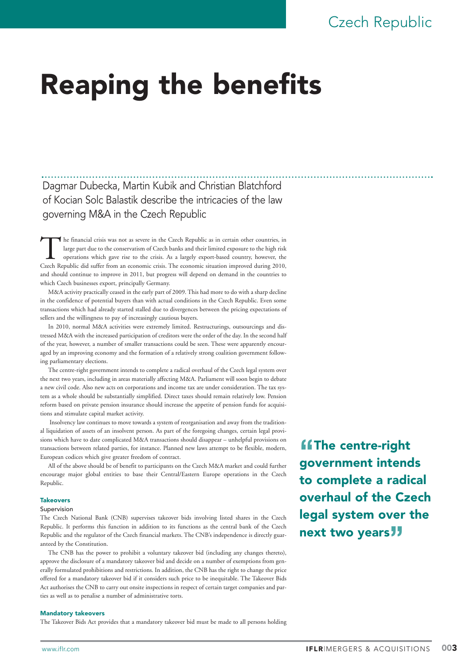# Czech Republic

# Reaping the benefits

Dagmar Dubecka, Martin Kubik and Christian Blatchford of Kocian Solc Balastik describe the intricacies of the law governing M&A in the Czech Republic

The financial crisis was not as severe in the Czech Republic as in certain other countries, in large part due to the conservatism of Czech banks and their limited exposure to the high risk operations which gave rise to the large part due to the conservatism of Czech banks and their limited exposure to the high risk operations which gave rise to the crisis. As a largely export-based country, however, the and should continue to improve in 2011, but progress will depend on demand in the countries to which Czech businesses export, principally Germany.

M&A activity practically ceased in the early part of 2009. This had more to do with a sharp decline in the confidence of potential buyers than with actual conditions in the Czech Republic. Even some transactions which had already started stalled due to divergences between the pricing expectations of sellers and the willingness to pay of increasingly cautious buyers.

In 2010, normal M&A activities were extremely limited. Restructurings, outsourcings and distressed M&A with the increased participation of creditors were the order of the day. In the second half of the year, however, a number of smaller transactions could be seen. These were apparently encouraged by an improving economy and the formation of a relatively strong coalition government following parliamentary elections.

The centre-right government intends to complete a radical overhaul of the Czech legal system over the next two years, including in areas materially affecting M&A. Parliament will soon begin to debate a new civil code. Also new acts on corporations and income tax are under consideration. The tax system as a whole should be substantially simplified. Direct taxes should remain relatively low. Pension reform based on private pension insurance should increase the appetite of pension funds for acquisitions and stimulate capital market activity.

Insolvency law continues to move towards a system of reorganisation and away from the traditional liquidation of assets of an insolvent person. As part of the foregoing changes, certain legal provisions which have to date complicated M&A transactions should disappear – unhelpful provisions on transactions between related parties, for instance. Planned new laws attempt to be flexible, modern, European codices which give greater freedom of contract.

All of the above should be of benefit to participants on the Czech M&A market and could further encourage major global entities to base their Central/Eastern Europe operations in the Czech Republic.

# **Takeovers**

# Supervision

The Czech National Bank (CNB) supervises takeover bids involving listed shares in the Czech Republic. It performs this function in addition to its functions as the central bank of the Czech Republic and the regulator of the Czech financial markets. The CNB's independence is directly guaranteed by the Constitution.

The CNB has the power to prohibit a voluntary takeover bid (including any changes thereto), approve the disclosure of a mandatory takeover bid and decide on a number of exemptions from generally formulated prohibitions and restrictions. In addition, the CNB has the right to change the price offered for a mandatory takeover bid if it considers such price to be inequitable. The Takeover Bids Act authorises the CNB to carry out onsite inspections in respect of certain target companies and parties as well as to penalise a number of administrative torts.

#### Mandatory takeovers

The Takeover Bids Act provides that a mandatory takeover bid must be made to all persons holding

**"f**The centre-right government intends to complete a radical overhaul of the Czech legal system over the next two years**"**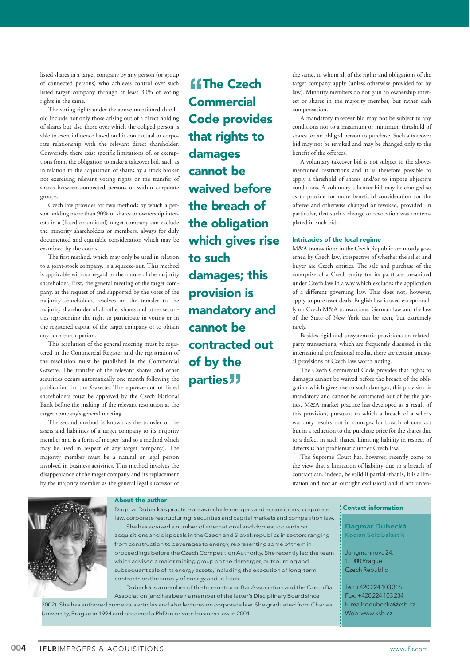listed shares in a target company by any person (or group of connected persons) who achieves control over such listed target company through at least 30% of voting rights in the same.

The voting rights under the above-mentioned threshold include not only those arising out of a direct holding of shares but also those over which the obliged person is able to exert influence based on his contractual or corporate relationship with the relevant direct shareholder. Conversely, there exist specific limitations of, or exemptions from, the obligation to make a takeover bid, such as in relation to the acquisition of shares by a stock broker not exercising relevant voting rights or the transfer of shares between connected persons or within corporate groups.

Czech law provides for two methods by which a person holding more than 90% of shares or ownership interests in a (listed or unlisted) target company can exclude the minority shareholders or members, always for duly documented and equitable consideration which may be examined by the courts.

The first method, which may only be used in relation to a joint-stock company, is a squeeze-out. This method is applicable without regard to the nature of the majority shareholder. First, the general meeting of the target company, at the request of and supported by the votes of the majority shareholder, resolves on the transfer to the majority shareholder of all other shares and other securities representing the right to participate in voting or in the registered capital of the target company or to obtain any such participation.

This resolution of the general meeting must be registered in the Commercial Register and the registration of the resolution must be published in the Commercial Gazette. The transfer of the relevant shares and other securities occurs automatically one month following the publication in the Gazette. The squeeze-out of listed shareholders must be approved by the Czech National Bank before the making of the relevant resolution at the target company's general meeting.

The second method is known as the transfer of the assets and liabilities of a target company to its majority member and is a form of merger (and so a method which may be used in respect of any target company). The majority member must be a natural or legal person involved in business activities. This method involves the disappearance of the target company and its replacement by the majority member as the general legal successor of

**"The Czech" Commercial** Code provides that rights to damages cannot be waived before the breach of the obligation which gives rise to such damages; this provision is mandatory and cannot be contracted out of by the parties**"**

the same, to whom all of the rights and obligations of the target company apply (unless otherwise provided for by law). Minority members do not gain an ownership interest or shares in the majority member, but rather cash compensation.

A mandatory takeover bid may not be subject to any conditions nor to a maximum or minimum threshold of shares for an obliged person to purchase. Such a takeover bid may not be revoked and may be changed only to the benefit of the offerees.

A voluntary takeover bid is not subject to the abovementioned restrictions and it is therefore possible to apply a threshold of shares and/or to impose objective conditions. A voluntary takeover bid may be changed so as to provide for more beneficial consideration for the offeree and otherwise changed or revoked, provided, in particular, that such a change or revocation was contemplated in such bid.

## Intricacies of the local regime

M&A transactions in the Czech Republic are mostly governed by Czech law, irrespective of whether the seller and buyer are Czech entities. The sale and purchase of the enterprise of a Czech entity (or its part) are prescribed under Czech law in a way which excludes the application of a different governing law. This does not, however, apply to pure asset deals. English law is used exceptionally on Czech M&A transactions. German law and the law of the State of New York can be seen, but extremely rarely.

Besides rigid and unsystematic provisions on relatedparty transactions, which are frequently discussed in the international professional media, there are certain unusual provisions of Czech law worth noting.

The Czech Commercial Code provides that rights to damages cannot be waived before the breach of the obligation which gives rise to such damages; this provision is mandatory and cannot be contracted out of by the parties. M&A market practice has developed as a result of this provision, pursuant to which a breach of a seller's warranty results not in damages for breach of contract but in a reduction to the purchase price for the shares due to a defect in such shares. Limiting liability in respect of defects is not problematic under Czech law.

The Supreme Court has, however, recently come to the view that a limitation of liability due to a breach of contract can, indeed, be valid if partial (that is, it is a limitation and not an outright exclusion) and if not unrea-



# About the author

Dagmar Dubecká's practice areas include mergers and acquisitions, corporate law, corporate restructuring, securities and capital markets and competition law. She has advised a number of international and domestic clients on acquisitions and disposals in the Czech and Slovak republics in sectors ranging from construction to beverages to energy, representing some of them in proceedings before the Czech Competition Authority. She recently led the team which advised a major mining group on the demerger, outsourcing and subsequent sale of its energy assets, including the execution of long-term contracts on the supply of energy and utilities.

Dubecká is a member of the International Bar Association and the Czech Bar Association (and has been a member of the latter's Disciplinary Board since 2002). She has authored numerous articles and also lectures on corporate law. She graduated from Charles University, Prague in 1994 and obtained a PhD in private business law in 2001.

## Contact information

Dagmar Dubecká Kocian Solc Balastik

Jungmannova 24, 11000 Prague Czech Republic

Tel: +420 224 103 316 Fax: +420 224 103 234 E-mail: ddubecka@ksb.cz Web: www.ksb.cz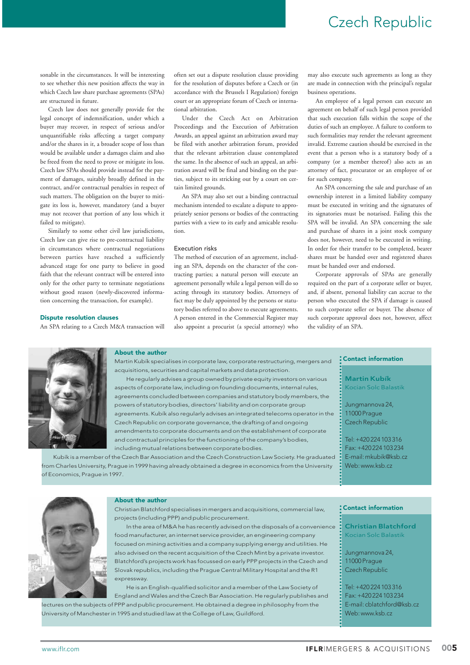# Czech Republic

sonable in the circumstances. It will be interesting to see whether this new position affects the way in which Czech law share purchase agreements (SPAs) are structured in future.

Czech law does not generally provide for the legal concept of indemnification, under which a buyer may recover, in respect of serious and/or unquantifiable risks affecting a target company and/or the shares in it, a broader scope of loss than would be available under a damages claim and also be freed from the need to prove or mitigate its loss. Czech law SPAs should provide instead for the payment of damages, suitably broadly defined in the contract, and/or contractual penalties in respect of such matters. The obligation on the buyer to mitigate its loss is, however, mandatory (and a buyer may not recover that portion of any loss which it failed to mitigate).

Similarly to some other civil law jurisdictions, Czech law can give rise to pre-contractual liability in circumstances where contractual negotiations between parties have reached a sufficiently advanced stage for one party to believe in good faith that the relevant contract will be entered into only for the other party to terminate negotiations without good reason (newly-discovered information concerning the transaction, for example).

#### Dispute resolution clauses

An SPA relating to a Czech M&A transaction will

often set out a dispute resolution clause providing for the resolution of disputes before a Czech or (in accordance with the Brussels I Regulation) foreign court or an appropriate forum of Czech or international arbitration.

Under the Czech Act on Arbitration Proceedings and the Execution of Arbitration Awards, an appeal against an arbitration award may be filed with another arbitration forum, provided that the relevant arbitration clause contemplated the same. In the absence of such an appeal, an arbitration award will be final and binding on the parties, subject to its stricking out by a court on certain limited grounds.

An SPA may also set out a binding contractual mechanism intended to escalate a dispute to appropriately senior persons or bodies of the contracting parties with a view to its early and amicable resolution.

#### Execution risks

The method of execution of an agreement, including an SPA, depends on the character of the contracting parties; a natural person will execute an agreement personally while a legal person will do so acting through its statutory bodies. Attorneys of fact may be duly appointed by the persons or statutory bodies referred to above to execute agreements. A person entered in the Commercial Register may also appoint a procurist (a special attorney) who

may also execute such agreements as long as they are made in connection with the principal's regular business operations.

An employee of a legal person can execute an agreement on behalf of such legal person provided that such execution falls within the scope of the duties of such an employee. A failure to conform to such formalities may render the relevant agreement invalid. Extreme caution should be exercised in the event that a person who is a statutory body of a company (or a member thereof) also acts as an attorney of fact, procurator or an employee of or for such company.

An SPA concerning the sale and purchase of an ownership interest in a limited liability company must be executed in writing and the signatures of its signatories must be notarised. Failing this the SPA will be invalid. An SPA concerning the sale and purchase of shares in a joint stock company does not, however, need to be executed in writing. In order for their transfer to be completed, bearer shares must be handed over and registered shares must be handed over and endorsed.

Corporate approvals of SPAs are generally required on the part of a corporate seller or buyer, and, if absent, personal liability can accrue to the person who executed the SPA if damage is caused to such corporate seller or buyer. The absence of such corporate approval does not, however, affect the validity of an SPA.



# About the author

Martin Kubík specialises in corporate law, corporate restructuring, mergers and acquisitions, securities and capital markets and data protection.

He regularly advises a group owned by private equity investors on various aspects of corporate law, including on founding documents, internal rules, agreements concluded between companies and statutory body members, the powers of statutory bodies, directors' liability and on corporate group agreements. Kubík also regularly advises an integrated telecoms operator in the Czech Republic on corporate governance, the drafting of and ongoing amendments to corporate documents and on the establishment of corporate and contractual principles for the functioning of the company's bodies, including mutual relations between corporate bodies.

Kubík is a member of the Czech Bar Association and the Czech Construction Law Society. He graduated from Charles University, Prague in 1999 having already obtained a degree in economics from the University of Economics, Prague in 1997.

## Contact information

Martin Kubík Kocian Solc Balastik

Jungmannova 24, 11000 Prague Czech Republic

Tel: +420 224 103 316 Fax: +420 224 103 234 E-mail: mkubik@ksb.cz Web: www.ksb.cz



# About the author

Christian Blatchford specialises in mergers and acquisitions, commercial law, projects (including PPP) and public procurement.

In the area of M&A he has recently advised on the disposals of a convenience food manufacturer, an internet service provider, an engineering company focused on mining activities and a company supplying energy and utilities. He also advised on the recent acquisition of the Czech Mint by a private investor. Blatchford's projects work has focussed on early PPP projects in the Czech and Slovak republics, including the Prague Central Military Hospital and the R1 expressway.

He is an English-qualified solicitor and a member of the Law Society of England and Wales and the Czech Bar Association. He regularly publishes and lectures on the subjects of PPP and public procurement. He obtained a degree in philosophy from the University of Manchester in 1995 and studied law at the College of Law, Guildford.

# Contact information

Christian Blatchford Kocian Solc Balastik

Jungmannova 24, 11000 Prague Czech Republic

Tel: +420 224 103 316 Fax: +420 224 103 234 E-mail: cblatchford@ksb.cz Web: www.ksb.cz